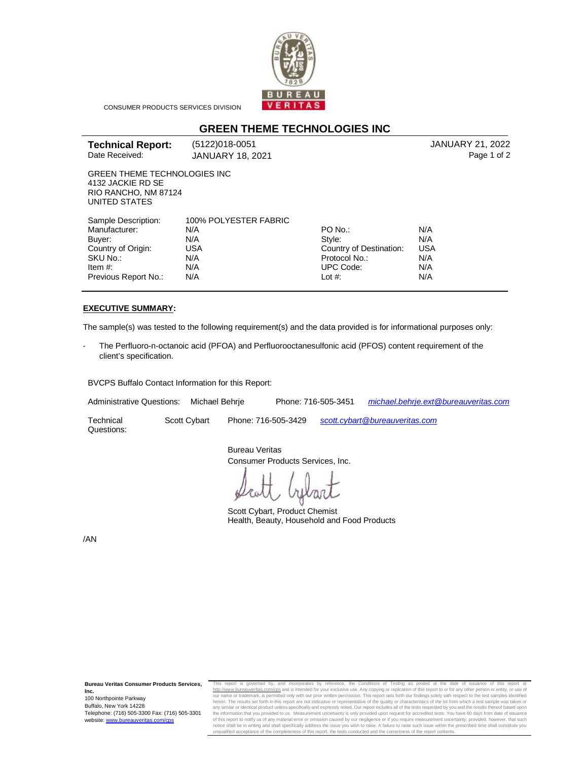

CONSUMER PRODUCTS SERVICES DIVISION

## **GREEN THEME TECHNOLOGIES INC**

| <b>Technical Report:</b> | (5122)018-0051   | JANUARY 21, 2022 |
|--------------------------|------------------|------------------|
| Date Received:           | JANUARY 18, 2021 | Page 1 of 2      |

GREEN THEME TECHNOLOGIES INC 4132 JACKIE RD SE RIO RANCHO, NM 87124 UNITED STATES

| Sample Description:  | 100% POLYESTER FABRIC |                         |            |
|----------------------|-----------------------|-------------------------|------------|
| Manufacturer:        | N/A                   | PO No.:                 | N/A        |
| Buyer:               | N/A                   | Style:                  | N/A        |
| Country of Origin:   | USA                   | Country of Destination: | <b>USA</b> |
| SKU No.:             | N/A                   | Protocol No.:           | N/A        |
| Item $#$ :           | N/A                   | <b>UPC Code:</b>        | N/A        |
| Previous Report No.: | N/A                   | Lot $#$ :               | N/A        |

## **EXECUTIVE SUMMARY:**

The sample(s) was tested to the following requirement(s) and the data provided is for informational purposes only:

The Perfluoro-n-octanoic acid (PFOA) and Perfluorooctanesulfonic acid (PFOS) content requirement of the client's specification.

BVCPS Buffalo Contact Information for this Report:

Administrative Questions: Michael Behrje Phone: 716-505-3451 *[michael.behrje.ext@bureauveritas.com](mailto:michael.behrje.ext@bureauveritas.com)* 

**Technical** Questions:

Scott Cybart Phone: 716-505-3429 *[scott.cybart@bureauveritas.com](mailto:scott.cybart@bureauveritas.com)*

Bureau Veritas Consumer Products Services, Inc.

Scott Cybart, Product Chemist Health, Beauty, Household and Food Products

/AN

This report is governed by, and incorporates by reference, the Conditions of Testing as posted at the date of issuance of this report at<br>h<u>ttp://www.bureauveritas.com/cps</u> and isintended foryour exclusive use.Any.copying o herein. The results set forth in this report are not indicative or representative of the quality or characteristics of the lot from which a test sample was taken or<br>any similar or identical product unless specifically and of this report to notify us of any material error or omission caused by our negligence or if you require measurement uncertainty; provided, however, that such<br>notice shall be in writing and shall specifically address the i